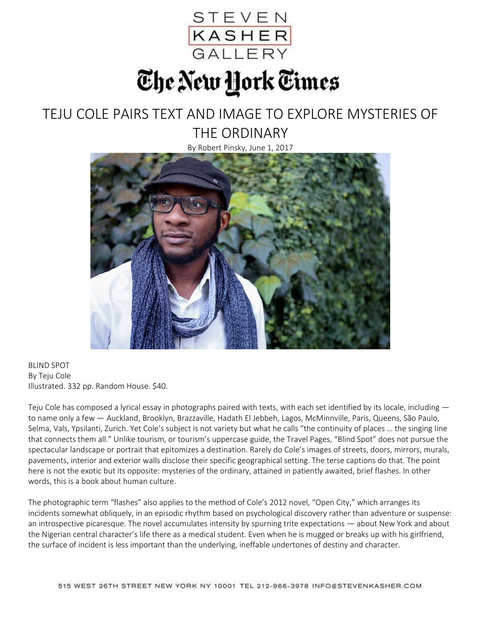

## The New York Times

## TEJU COLE PAIRS TEXT AND IMAGE TO EXPLORE MYSTERIES OF THE ORDINARY

By Robert Pinsky, June 1, 2017



BLIND SPOT By Teju Cole Illustrated. 332 pp. Random House. \$40.

Teju Cole has composed a lyrical essay in photographs paired with texts, with each set identified by its locale, including  $$ to name only a few — Auckland, Brooklyn, Brazzaville, Hadath El Jebbeh, Lagos, McMinnville, Paris, Queens, São Paulo, Selma, Vals, Ypsilanti, Zurich. Yet Cole's subject is not variety but what he calls "the continuity of places … the singing line that connects them all." Unlike tourism, or tourism's uppercase guide, the Travel Pages, "Blind Spot" does not pursue the spectacular landscape or portrait that epitomizes a destination. Rarely do Cole's images of streets, doors, mirrors, murals, pavements, interior and exterior walls disclose their specific geographical setting. The terse captions do that. The point here is not the exotic but its opposite: mysteries of the ordinary, attained in patiently awaited, brief flashes. In other words, this is a book about human culture.

The photographic term "flashes" also applies to the method of Cole's 2012 novel, "Open City," which arranges its incidents somewhat obliquely, in an episodic rhythm based on psychological discovery rather than adventure or suspense: an introspective picaresque. The novel accumulates intensity by spurning trite expectations — about New York and about the Nigerian central character's life there as a medical student. Even when he is mugged or breaks up with his girlfriend, the surface of incident is less important than the underlying, ineffable undertones of destiny and character.